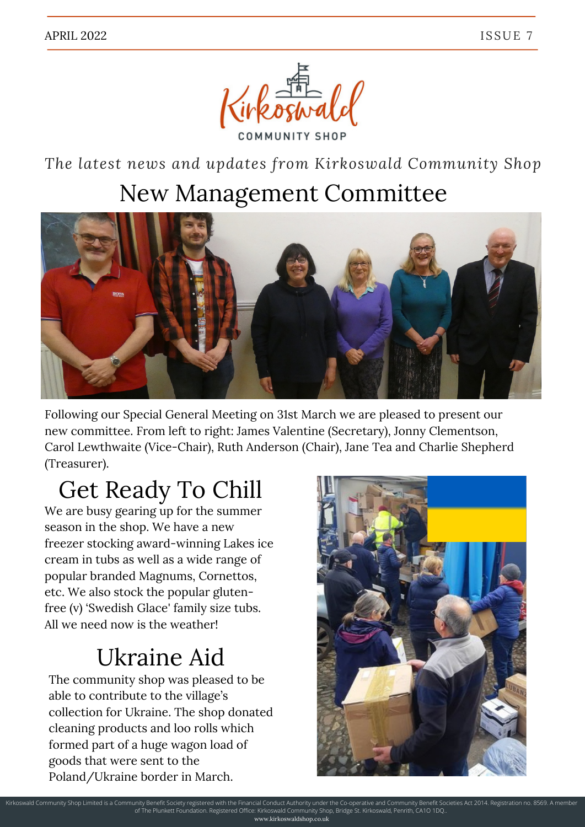

*The latest news and updates from Kirkoswald Community Shop*

#### New Management Committee



Following our Special General Meeting on 31st March we are pleased to present our new committee. From left to right: James Valentine (Secretary), Jonny Clementson, Carol Lewthwaite (Vice-Chair), Ruth Anderson (Chair), Jane Tea and Charlie Shepherd (Treasurer).

# Get Ready To Chill

We are busy gearing up for the summer season in the shop. We have a new freezer stocking award-winning Lakes ice cream in tubs as well as a wide range of popular branded Magnums, Cornettos, etc. We also stock the popular glutenfree (v) 'Swedish Glace' family size tubs. All we need now is the weather!

### Ukraine Aid

The community shop was pleased to be able to contribute to the village's collection for Ukraine. The shop donated cleaning products and loo rolls which formed part of a huge wagon load of goods that were sent to the Poland/Ukraine border in March.



Kirkoswald Community Shop Limited is a Community Benefit Society registered with the Financial Conduct Authority under the Co-operative and Community Benefit Societies Act 2014. Registration no. 8569. A member of The Plunkett Foundation. Registered Office: Kirkoswald Community Shop, Bridge St. Kirkoswald, Penrith, CA1O 1DQ.. www.kirkoswaldshop.co.uk